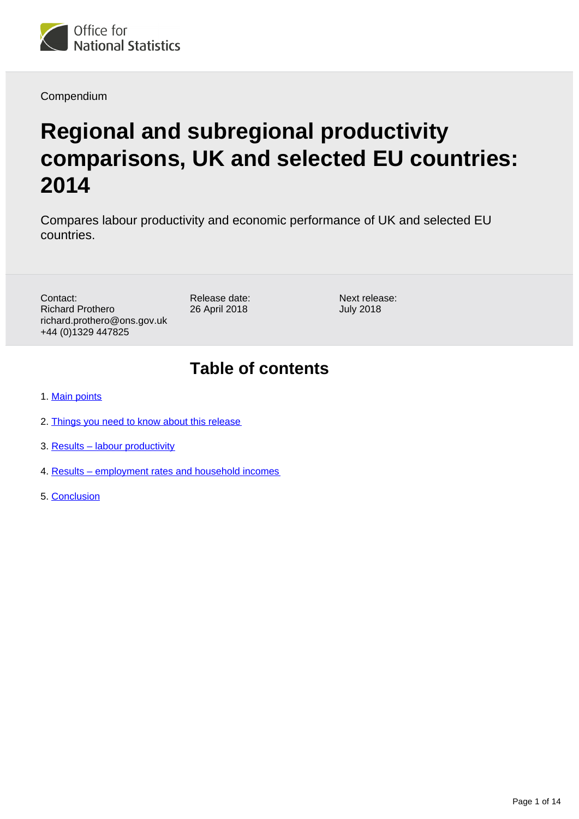

Compendium

# **Regional and subregional productivity comparisons, UK and selected EU countries: 2014**

Compares labour productivity and economic performance of UK and selected EU countries.

Contact: Richard Prothero richard.prothero@ons.gov.uk +44 (0)1329 447825

Release date: 26 April 2018

Next release: July 2018

## **Table of contents**

- 1. [Main points](#page-1-0)
- 2. [Things you need to know about this release](#page-1-1)
- 3. [Results labour productivity](#page-4-0)
- 4. [Results employment rates and household incomes](#page-9-0)
- 5. [Conclusion](#page-13-0)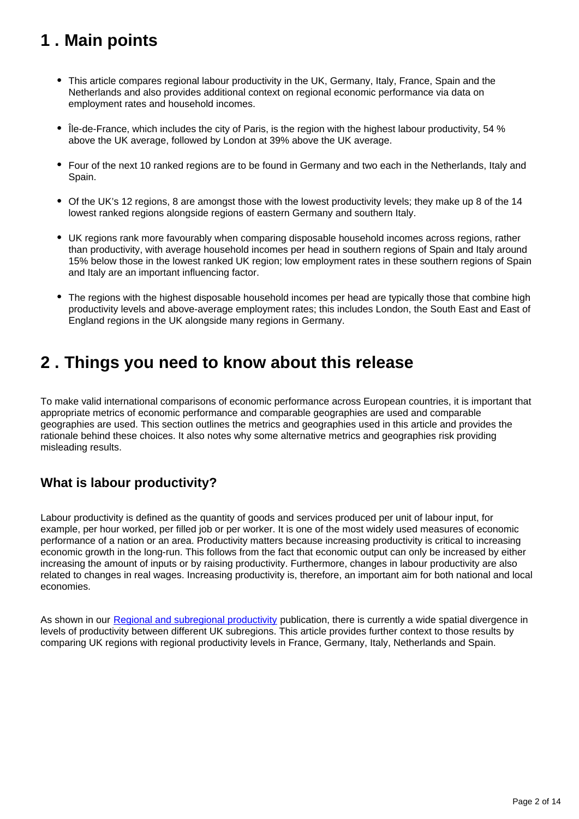## <span id="page-1-0"></span>**1 . Main points**

- This article compares regional labour productivity in the UK, Germany, Italy, France, Spain and the Netherlands and also provides additional context on regional economic performance via data on employment rates and household incomes.
- Île-de-France, which includes the city of Paris, is the region with the highest labour productivity, 54 % above the UK average, followed by London at 39% above the UK average.
- Four of the next 10 ranked regions are to be found in Germany and two each in the Netherlands, Italy and Spain.
- Of the UK's 12 regions, 8 are amongst those with the lowest productivity levels; they make up 8 of the 14 lowest ranked regions alongside regions of eastern Germany and southern Italy.
- UK regions rank more favourably when comparing disposable household incomes across regions, rather than productivity, with average household incomes per head in southern regions of Spain and Italy around 15% below those in the lowest ranked UK region; low employment rates in these southern regions of Spain and Italy are an important influencing factor.
- The regions with the highest disposable household incomes per head are typically those that combine high productivity levels and above-average employment rates; this includes London, the South East and East of England regions in the UK alongside many regions in Germany.

## <span id="page-1-1"></span>**2 . Things you need to know about this release**

To make valid international comparisons of economic performance across European countries, it is important that appropriate metrics of economic performance and comparable geographies are used and comparable geographies are used. This section outlines the metrics and geographies used in this article and provides the rationale behind these choices. It also notes why some alternative metrics and geographies risk providing misleading results.

### **What is labour productivity?**

Labour productivity is defined as the quantity of goods and services produced per unit of labour input, for example, per hour worked, per filled job or per worker. It is one of the most widely used measures of economic performance of a nation or an area. Productivity matters because increasing productivity is critical to increasing economic growth in the long-run. This follows from the fact that economic output can only be increased by either increasing the amount of inputs or by raising productivity. Furthermore, changes in labour productivity are also related to changes in real wages. Increasing productivity is, therefore, an important aim for both national and local economies.

As shown in our [Regional and subregional productivity](https://www.ons.gov.uk/employmentandlabourmarket/peopleinwork/labourproductivity/articles/regionalandsubregionalproductivityintheuk/february2018) publication, there is currently a wide spatial divergence in levels of productivity between different UK subregions. This article provides further context to those results by comparing UK regions with regional productivity levels in France, Germany, Italy, Netherlands and Spain.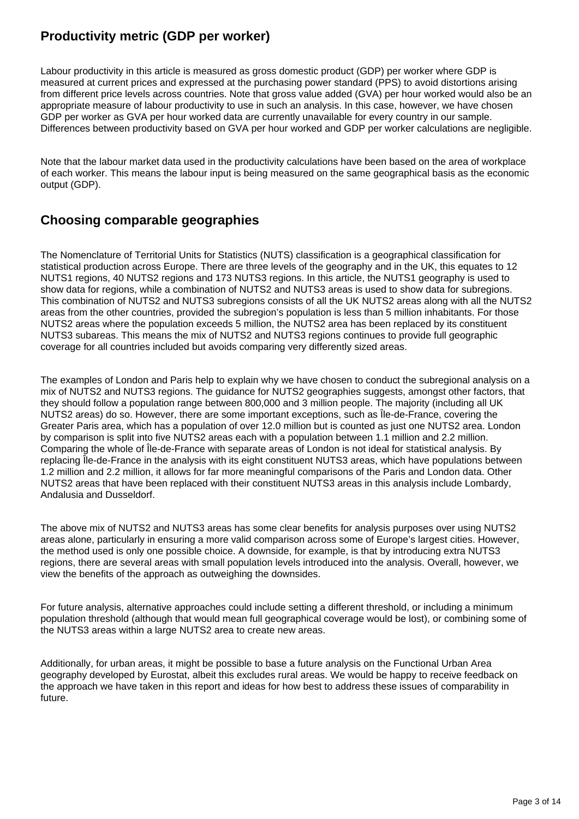### **Productivity metric (GDP per worker)**

Labour productivity in this article is measured as gross domestic product (GDP) per worker where GDP is measured at current prices and expressed at the purchasing power standard (PPS) to avoid distortions arising from different price levels across countries. Note that gross value added (GVA) per hour worked would also be an appropriate measure of labour productivity to use in such an analysis. In this case, however, we have chosen GDP per worker as GVA per hour worked data are currently unavailable for every country in our sample. Differences between productivity based on GVA per hour worked and GDP per worker calculations are negligible.

Note that the labour market data used in the productivity calculations have been based on the area of workplace of each worker. This means the labour input is being measured on the same geographical basis as the economic output (GDP).

### **Choosing comparable geographies**

The Nomenclature of Territorial Units for Statistics (NUTS) classification is a geographical classification for statistical production across Europe. There are three levels of the geography and in the UK, this equates to 12 NUTS1 regions, 40 NUTS2 regions and 173 NUTS3 regions. In this article, the NUTS1 geography is used to show data for regions, while a combination of NUTS2 and NUTS3 areas is used to show data for subregions. This combination of NUTS2 and NUTS3 subregions consists of all the UK NUTS2 areas along with all the NUTS2 areas from the other countries, provided the subregion's population is less than 5 million inhabitants. For those NUTS2 areas where the population exceeds 5 million, the NUTS2 area has been replaced by its constituent NUTS3 subareas. This means the mix of NUTS2 and NUTS3 regions continues to provide full geographic coverage for all countries included but avoids comparing very differently sized areas.

The examples of London and Paris help to explain why we have chosen to conduct the subregional analysis on a mix of NUTS2 and NUTS3 regions. The guidance for NUTS2 geographies suggests, amongst other factors, that they should follow a population range between 800,000 and 3 million people. The majority (including all UK NUTS2 areas) do so. However, there are some important exceptions, such as Île-de-France, covering the Greater Paris area, which has a population of over 12.0 million but is counted as just one NUTS2 area. London by comparison is split into five NUTS2 areas each with a population between 1.1 million and 2.2 million. Comparing the whole of Île-de-France with separate areas of London is not ideal for statistical analysis. By replacing Île-de-France in the analysis with its eight constituent NUTS3 areas, which have populations between 1.2 million and 2.2 million, it allows for far more meaningful comparisons of the Paris and London data. Other NUTS2 areas that have been replaced with their constituent NUTS3 areas in this analysis include Lombardy, Andalusia and Dusseldorf.

The above mix of NUTS2 and NUTS3 areas has some clear benefits for analysis purposes over using NUTS2 areas alone, particularly in ensuring a more valid comparison across some of Europe's largest cities. However, the method used is only one possible choice. A downside, for example, is that by introducing extra NUTS3 regions, there are several areas with small population levels introduced into the analysis. Overall, however, we view the benefits of the approach as outweighing the downsides.

For future analysis, alternative approaches could include setting a different threshold, or including a minimum population threshold (although that would mean full geographical coverage would be lost), or combining some of the NUTS3 areas within a large NUTS2 area to create new areas.

Additionally, for urban areas, it might be possible to base a future analysis on the Functional Urban Area geography developed by Eurostat, albeit this excludes rural areas. We would be happy to receive feedback on the approach we have taken in this report and ideas for how best to address these issues of comparability in future.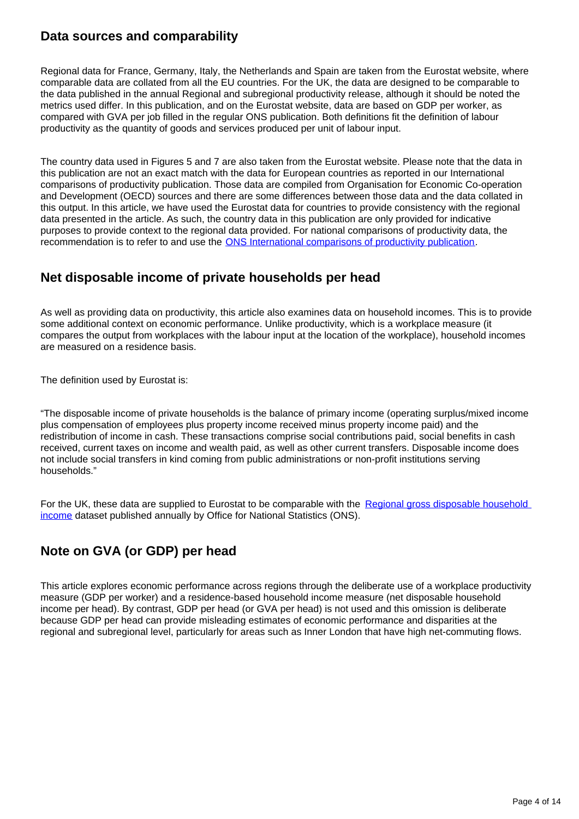### **Data sources and comparability**

Regional data for France, Germany, Italy, the Netherlands and Spain are taken from the Eurostat website, where comparable data are collated from all the EU countries. For the UK, the data are designed to be comparable to the data published in the annual Regional and subregional productivity release, although it should be noted the metrics used differ. In this publication, and on the Eurostat website, data are based on GDP per worker, as compared with GVA per job filled in the regular ONS publication. Both definitions fit the definition of labour productivity as the quantity of goods and services produced per unit of labour input.

The country data used in Figures 5 and 7 are also taken from the Eurostat website. Please note that the data in this publication are not an exact match with the data for European countries as reported in our International comparisons of productivity publication. Those data are compiled from Organisation for Economic Co-operation and Development (OECD) sources and there are some differences between those data and the data collated in this output. In this article, we have used the Eurostat data for countries to provide consistency with the regional data presented in the article. As such, the country data in this publication are only provided for indicative purposes to provide context to the regional data provided. For national comparisons of productivity data, the recommendation is to refer to and use the **ONS** International comparisons of productivity publication.

### **Net disposable income of private households per head**

As well as providing data on productivity, this article also examines data on household incomes. This is to provide some additional context on economic performance. Unlike productivity, which is a workplace measure (it compares the output from workplaces with the labour input at the location of the workplace), household incomes are measured on a residence basis.

The definition used by Eurostat is:

"The disposable income of private households is the balance of primary income (operating surplus/mixed income plus compensation of employees plus property income received minus property income paid) and the redistribution of income in cash. These transactions comprise social contributions paid, social benefits in cash received, current taxes on income and wealth paid, as well as other current transfers. Disposable income does not include social transfers in kind coming from public administrations or non-profit institutions serving households."

For the UK, these data are supplied to Eurostat to be comparable with the Regional gross disposable household [income](https://www.ons.gov.uk/economy/regionalaccounts/grossdisposablehouseholdincome/bulletins/regionalgrossdisposablehouseholdincomegdhi/2015) dataset published annually by Office for National Statistics (ONS).

### **Note on GVA (or GDP) per head**

This article explores economic performance across regions through the deliberate use of a workplace productivity measure (GDP per worker) and a residence-based household income measure (net disposable household income per head). By contrast, GDP per head (or GVA per head) is not used and this omission is deliberate because GDP per head can provide misleading estimates of economic performance and disparities at the regional and subregional level, particularly for areas such as Inner London that have high net-commuting flows.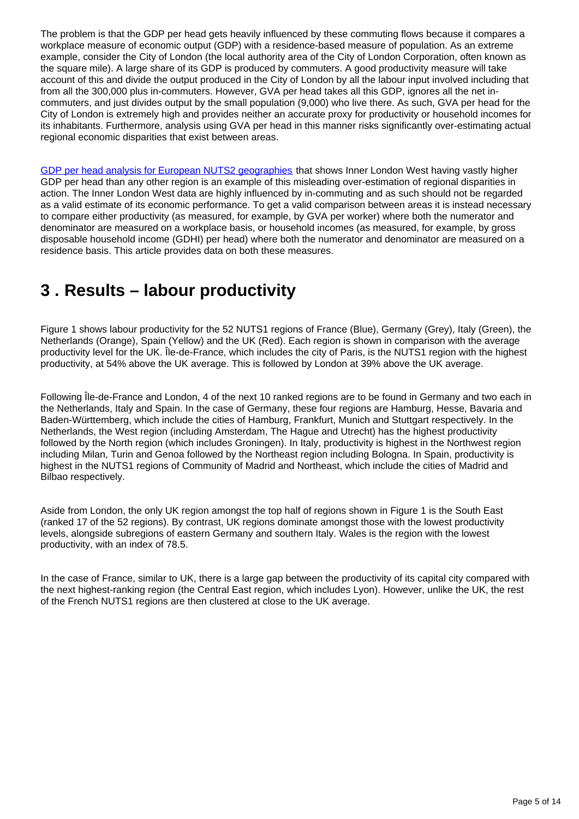The problem is that the GDP per head gets heavily influenced by these commuting flows because it compares a workplace measure of economic output (GDP) with a residence-based measure of population. As an extreme example, consider the City of London (the local authority area of the City of London Corporation, often known as the square mile). A large share of its GDP is produced by commuters. A good productivity measure will take account of this and divide the output produced in the City of London by all the labour input involved including that from all the 300,000 plus in-commuters. However, GVA per head takes all this GDP, ignores all the net incommuters, and just divides output by the small population (9,000) who live there. As such, GVA per head for the City of London is extremely high and provides neither an accurate proxy for productivity or household incomes for its inhabitants. Furthermore, analysis using GVA per head in this manner risks significantly over-estimating actual regional economic disparities that exist between areas.

[GDP per head analysis for European NUTS2 geographies](http://ec.europa.eu/eurostat/documents/2995521/8700651/1-28022018-BP-EN/15f5fd90-ce8b-4927-9a3b-07dc255dc42a) that shows Inner London West having vastly higher GDP per head than any other region is an example of this misleading over-estimation of regional disparities in action. The Inner London West data are highly influenced by in-commuting and as such should not be regarded as a valid estimate of its economic performance. To get a valid comparison between areas it is instead necessary to compare either productivity (as measured, for example, by GVA per worker) where both the numerator and denominator are measured on a workplace basis, or household incomes (as measured, for example, by gross disposable household income (GDHI) per head) where both the numerator and denominator are measured on a residence basis. This article provides data on both these measures.

## <span id="page-4-0"></span>**3 . Results – labour productivity**

Figure 1 shows labour productivity for the 52 NUTS1 regions of France (Blue), Germany (Grey), Italy (Green), the Netherlands (Orange), Spain (Yellow) and the UK (Red). Each region is shown in comparison with the average productivity level for the UK. Île-de-France, which includes the city of Paris, is the NUTS1 region with the highest productivity, at 54% above the UK average. This is followed by London at 39% above the UK average.

Following Île-de-France and London, 4 of the next 10 ranked regions are to be found in Germany and two each in the Netherlands, Italy and Spain. In the case of Germany, these four regions are Hamburg, Hesse, Bavaria and Baden-Württemberg, which include the cities of Hamburg, Frankfurt, Munich and Stuttgart respectively. In the Netherlands, the West region (including Amsterdam, The Hague and Utrecht) has the highest productivity followed by the North region (which includes Groningen). In Italy, productivity is highest in the Northwest region including Milan, Turin and Genoa followed by the Northeast region including Bologna. In Spain, productivity is highest in the NUTS1 regions of Community of Madrid and Northeast, which include the cities of Madrid and Bilbao respectively.

Aside from London, the only UK region amongst the top half of regions shown in Figure 1 is the South East (ranked 17 of the 52 regions). By contrast, UK regions dominate amongst those with the lowest productivity levels, alongside subregions of eastern Germany and southern Italy. Wales is the region with the lowest productivity, with an index of 78.5.

In the case of France, similar to UK, there is a large gap between the productivity of its capital city compared with the next highest-ranking region (the Central East region, which includes Lyon). However, unlike the UK, the rest of the French NUTS1 regions are then clustered at close to the UK average.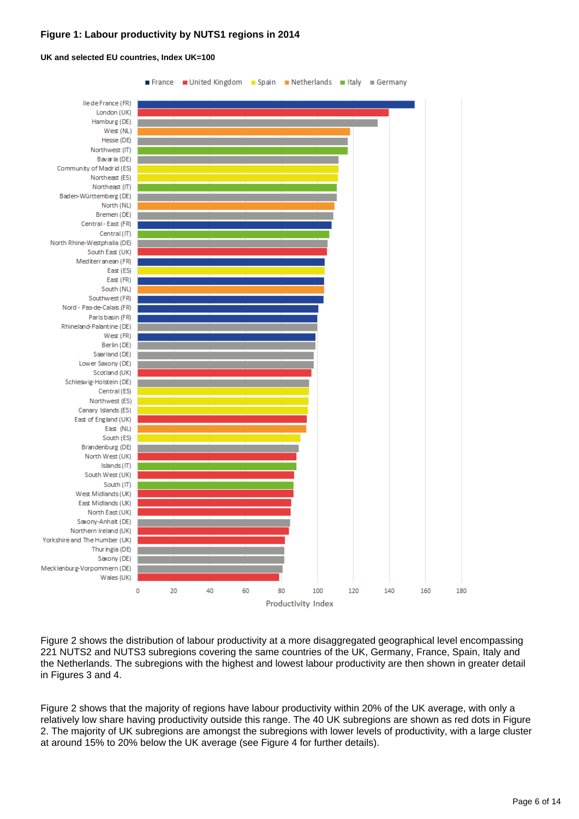#### **Figure 1: Labour productivity by NUTS1 regions in 2014**



#### **UK and selected EU countries, Index UK=100**

Figure 2 shows the distribution of labour productivity at a more disaggregated geographical level encompassing 221 NUTS2 and NUTS3 subregions covering the same countries of the UK, Germany, France, Spain, Italy and the Netherlands. The subregions with the highest and lowest labour productivity are then shown in greater detail in Figures 3 and 4.

Figure 2 shows that the majority of regions have labour productivity within 20% of the UK average, with only a relatively low share having productivity outside this range. The 40 UK subregions are shown as red dots in Figure 2. The majority of UK subregions are amongst the subregions with lower levels of productivity, with a large cluster at around 15% to 20% below the UK average (see Figure 4 for further details).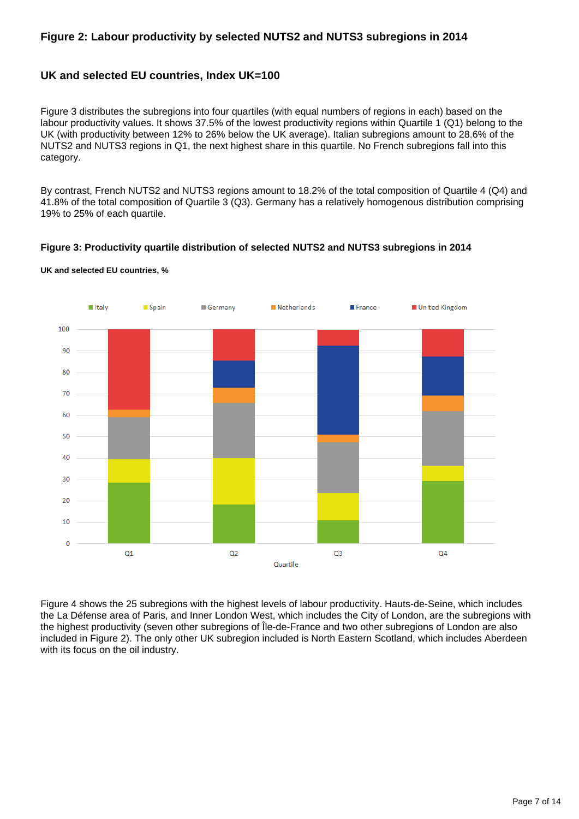#### **Figure 2: Labour productivity by selected NUTS2 and NUTS3 subregions in 2014**

#### **UK and selected EU countries, Index UK=100**

Figure 3 distributes the subregions into four quartiles (with equal numbers of regions in each) based on the labour productivity values. It shows 37.5% of the lowest productivity regions within Quartile 1 (Q1) belong to the UK (with productivity between 12% to 26% below the UK average). Italian subregions amount to 28.6% of the NUTS2 and NUTS3 regions in Q1, the next highest share in this quartile. No French subregions fall into this category.

By contrast, French NUTS2 and NUTS3 regions amount to 18.2% of the total composition of Quartile 4 (Q4) and 41.8% of the total composition of Quartile 3 (Q3). Germany has a relatively homogenous distribution comprising 19% to 25% of each quartile.

#### **Figure 3: Productivity quartile distribution of selected NUTS2 and NUTS3 subregions in 2014**



**UK and selected EU countries, %**

Figure 4 shows the 25 subregions with the highest levels of labour productivity. Hauts-de-Seine, which includes the La Défense area of Paris, and Inner London West, which includes the City of London, are the subregions with the highest productivity (seven other subregions of Île-de-France and two other subregions of London are also included in Figure 2). The only other UK subregion included is North Eastern Scotland, which includes Aberdeen with its focus on the oil industry.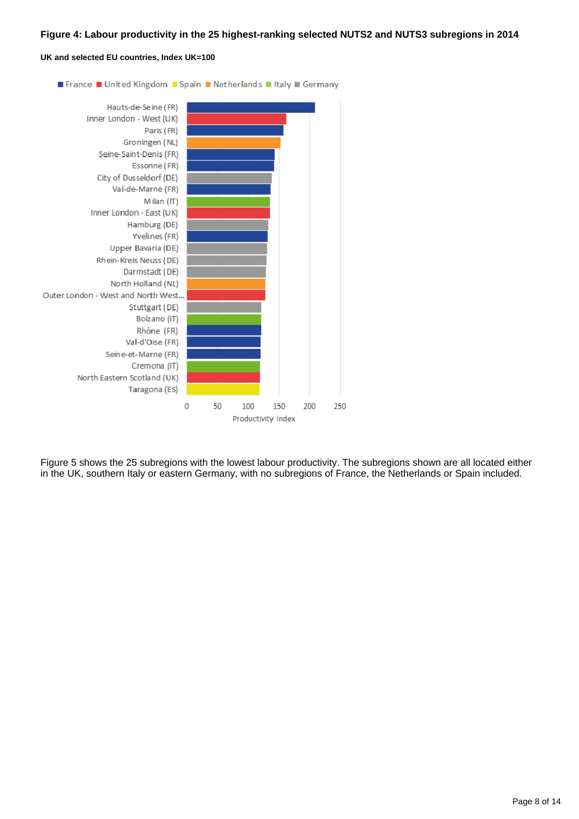#### **Figure 4: Labour productivity in the 25 highest-ranking selected NUTS2 and NUTS3 subregions in 2014**

#### **UK and selected EU countries, Index UK=100**



Figure 5 shows the 25 subregions with the lowest labour productivity. The subregions shown are all located either in the UK, southern Italy or eastern Germany, with no subregions of France, the Netherlands or Spain included.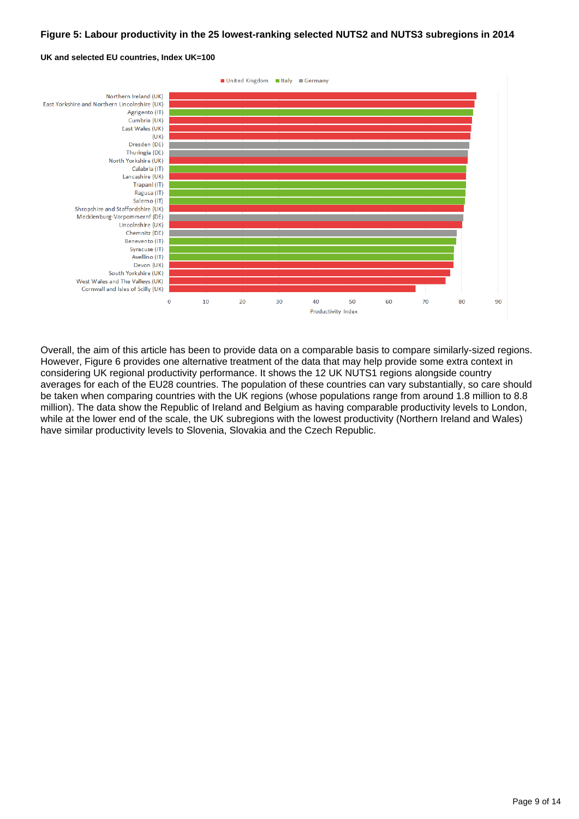#### **Figure 5: Labour productivity in the 25 lowest-ranking selected NUTS2 and NUTS3 subregions in 2014**



#### **UK and selected EU countries, Index UK=100**

Overall, the aim of this article has been to provide data on a comparable basis to compare similarly-sized regions. However, Figure 6 provides one alternative treatment of the data that may help provide some extra context in considering UK regional productivity performance. It shows the 12 UK NUTS1 regions alongside country averages for each of the EU28 countries. The population of these countries can vary substantially, so care should be taken when comparing countries with the UK regions (whose populations range from around 1.8 million to 8.8 million). The data show the Republic of Ireland and Belgium as having comparable productivity levels to London, while at the lower end of the scale, the UK subregions with the lowest productivity (Northern Ireland and Wales) have similar productivity levels to Slovenia, Slovakia and the Czech Republic.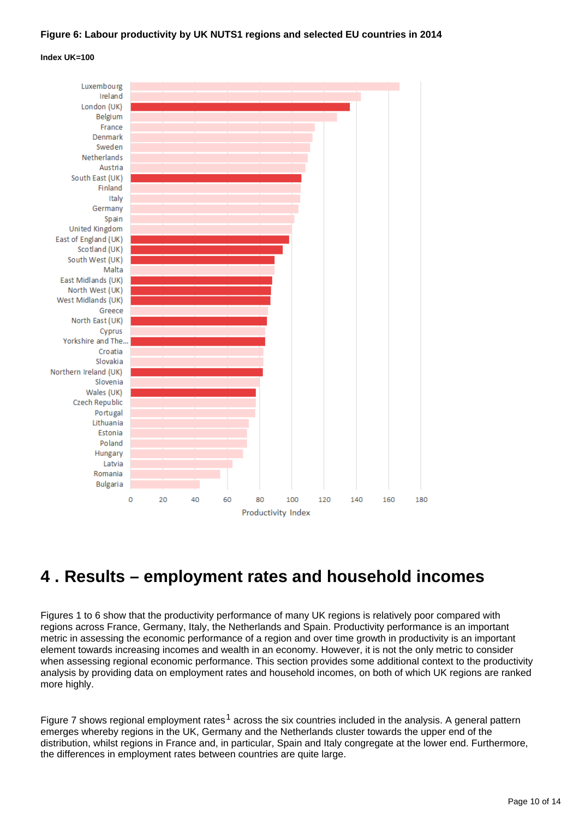#### **Figure 6: Labour productivity by UK NUTS1 regions and selected EU countries in 2014**

#### **Index UK=100**



## <span id="page-9-0"></span>**4 . Results – employment rates and household incomes**

Figures 1 to 6 show that the productivity performance of many UK regions is relatively poor compared with regions across France, Germany, Italy, the Netherlands and Spain. Productivity performance is an important metric in assessing the economic performance of a region and over time growth in productivity is an important element towards increasing incomes and wealth in an economy. However, it is not the only metric to consider when assessing regional economic performance. This section provides some additional context to the productivity analysis by providing data on employment rates and household incomes, on both of which UK regions are ranked more highly.

Figure 7 shows regional employment rates<sup>1</sup> across the six countries included in the analysis. A general pattern emerges whereby regions in the UK, Germany and the Netherlands cluster towards the upper end of the distribution, whilst regions in France and, in particular, Spain and Italy congregate at the lower end. Furthermore, the differences in employment rates between countries are quite large.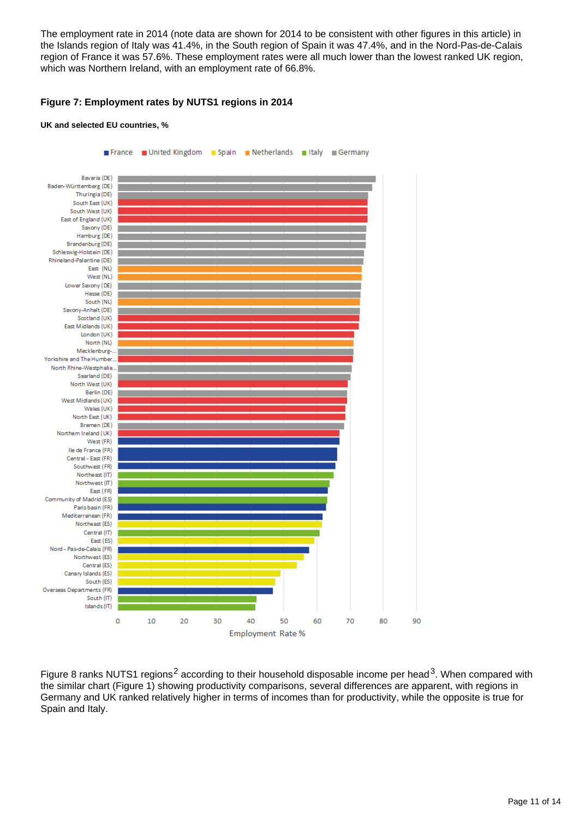The employment rate in 2014 (note data are shown for 2014 to be consistent with other figures in this article) in the Islands region of Italy was 41.4%, in the South region of Spain it was 47.4%, and in the Nord-Pas-de-Calais region of France it was 57.6%. These employment rates were all much lower than the lowest ranked UK region, which was Northern Ireland, with an employment rate of 66.8%.

#### **Figure 7: Employment rates by NUTS1 regions in 2014**

#### **UK and selected EU countries, %**



Figure 8 ranks NUTS1 regions<sup>2</sup> according to their household disposable income per head<sup>3</sup>. When compared with the similar chart (Figure 1) showing productivity comparisons, several differences are apparent, with regions in Germany and UK ranked relatively higher in terms of incomes than for productivity, while the opposite is true for Spain and Italy.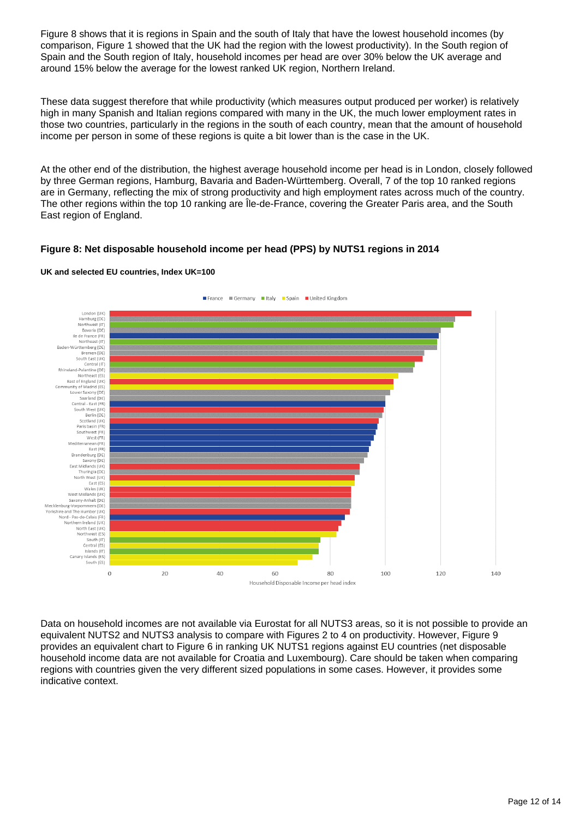Figure 8 shows that it is regions in Spain and the south of Italy that have the lowest household incomes (by comparison, Figure 1 showed that the UK had the region with the lowest productivity). In the South region of Spain and the South region of Italy, household incomes per head are over 30% below the UK average and around 15% below the average for the lowest ranked UK region, Northern Ireland.

These data suggest therefore that while productivity (which measures output produced per worker) is relatively high in many Spanish and Italian regions compared with many in the UK, the much lower employment rates in those two countries, particularly in the regions in the south of each country, mean that the amount of household income per person in some of these regions is quite a bit lower than is the case in the UK.

At the other end of the distribution, the highest average household income per head is in London, closely followed by three German regions, Hamburg, Bavaria and Baden-Württemberg. Overall, 7 of the top 10 ranked regions are in Germany, reflecting the mix of strong productivity and high employment rates across much of the country. The other regions within the top 10 ranking are Île-de-France, covering the Greater Paris area, and the South East region of England.

#### **Figure 8: Net disposable household income per head (PPS) by NUTS1 regions in 2014**



#### **UK and selected EU countries, Index UK=100**

Data on household incomes are not available via Eurostat for all NUTS3 areas, so it is not possible to provide an equivalent NUTS2 and NUTS3 analysis to compare with Figures 2 to 4 on productivity. However, Figure 9 provides an equivalent chart to Figure 6 in ranking UK NUTS1 regions against EU countries (net disposable household income data are not available for Croatia and Luxembourg). Care should be taken when comparing regions with countries given the very different sized populations in some cases. However, it provides some indicative context.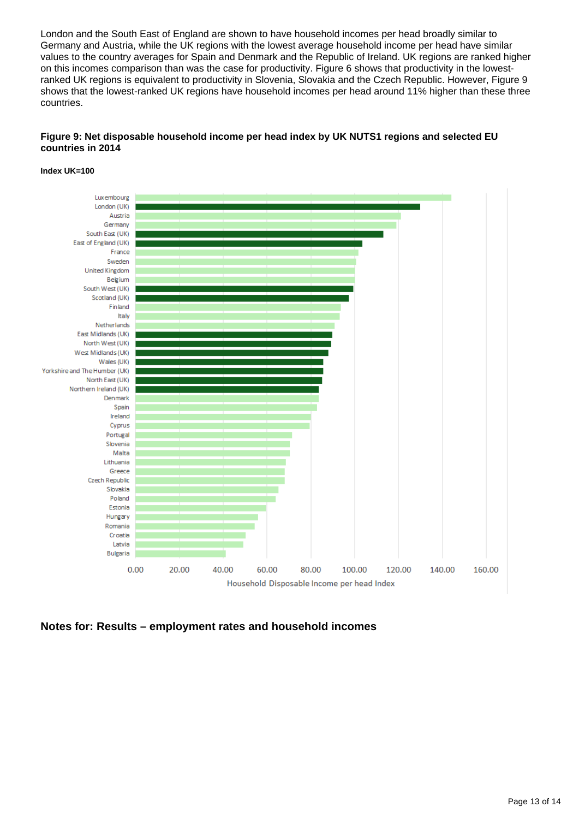London and the South East of England are shown to have household incomes per head broadly similar to Germany and Austria, while the UK regions with the lowest average household income per head have similar values to the country averages for Spain and Denmark and the Republic of Ireland. UK regions are ranked higher on this incomes comparison than was the case for productivity. Figure 6 shows that productivity in the lowestranked UK regions is equivalent to productivity in Slovenia, Slovakia and the Czech Republic. However, Figure 9 shows that the lowest-ranked UK regions have household incomes per head around 11% higher than these three countries.

#### **Figure 9: Net disposable household income per head index by UK NUTS1 regions and selected EU countries in 2014**

#### **Index UK=100**



**Notes for: Results – employment rates and household incomes**